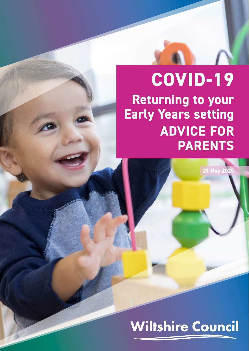# **COVID-19**  Returning to your Early Years setting ADVICE FOR PARENTS

29 May 2020

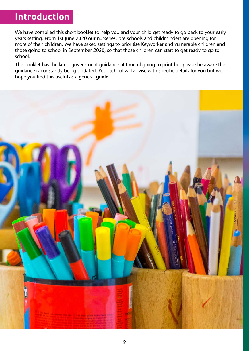# Introduction

We have compiled this short booklet to help you and your child get ready to go back to your early years setting. From 1st June 2020 our nurseries, pre-schools and childminders are opening for more of their children. We have asked settings to prioritise Keyworker and vulnerable children and those going to school in September 2020, so that those children can start to get ready to go to school.

The booklet has the latest government guidance at time of going to print but please be aware the guidance is constantly being updated. Your school will advise with specific details for you but we hope you find this useful as a general guide.

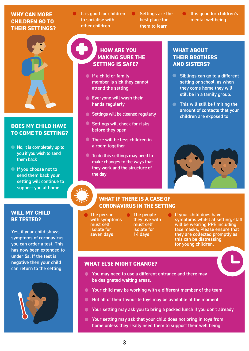## **WHY CAN MORE CHILDREN GO TO THEIR SETTINGS?**

- It is good for children to socialise with other children
- $\bullet$ Settings are the best place for them to learn
- $\bullet$  It is good for children's mental wellbeing



### **DOES MY CHILD HAVE TO COME TO SETTING?**

- $\bullet$  No, it is completely up to you if you wish to send them back
- If you choose not to send them back your setting will continue to support you at home

### **WILL MY CHILD BE TESTED?**

Yes, if your child shows symptoms of coronavirus you can order a test. This has now been extended to under 5s. If the test is negative then your child can return to the setting



# **HOW ARE YOU MAKING SURE THE SETTING IS SAFE?**

- **If a child or family** member is sick they cannot attend the setting
- **Everyone will wash their** hands regularly
- Settings will be cleaned regularly
- $\bullet$  Settings will check for risks before they open
- There will be less children in a room together
- $\bullet$  To do this settings may need to make changes to the ways that they work and the structure of the day

## **WHAT ABOUT THEIR BROTHERS AND SISTERS?**

- **Siblings can go to a different** setting or school, as when they come home they will still be in a family group.
- **This will still be limiting the** amount of contacts that your children are exposed to



# **WHAT IF THERE IS A CASE OF CORONAVIRUS IN THE SETTING**

- The person with symptoms must self isolate for seven days
- The people they live with must self isolate for 14 days
- If your child does have symptoms whilst at setting, staff will be wearing PPE including face masks, Please ensure that they are collected promptly as this can be distressing for young children.

# **WHAT ELSE MIGHT CHANGE?**

- You may need to use a different entrance and there may be designated waiting areas.
- Your child may be working with a different member of the team
- Not all of their favourite toys may be available at the moment
- Your setting may ask you to bring a packed lunch if you don't already
- Your setting may ask that your child does not bring in toys from  $\bullet$ home unless they really need them to support their well being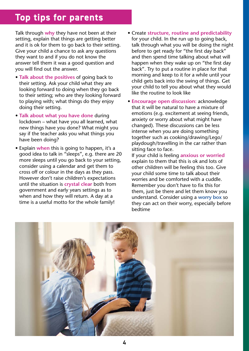# Top tips for parents

Talk through **why** they have not been at their setting, explain that things are getting better and it is ok for them to go back to their setting. Give your child a chance to ask any questions they want to and if you do not know the answer tell them it was a good question and you will find out the answer.

- **Talk about the positives** of going back to their setting. Ask your child what they are looking forward to doing when they go back to their setting; who are they looking forward to playing with; what things do they enjoy doing their setting.
- **Talk about what you have done** during lockdown – what have you all learned, what new things have you done? What might you say if the teacher asks you what things you have been doing?
- Explain **when** this is going to happen, it's a good idea to talk in "sleeps", e.g. there are 20 more sleeps until you go back to your setting, consider using a calendar and get them to cross off or colour in the days as they pass. However don't raise children's expectations until the situation is **crystal clear** both from government and early years settings as to when and how they will return. A day at a time is a useful motto for the whole family!
- Create **structure, routine and predictability** for your child. In the run up to going back, talk through what you will be doing the night before to get ready for "the first day back" and then spend time talking about what will happen when they wake up on "the first day back". Try to put a routine in place for that morning and keep to it for a while until your child gets back into the swing of things. Get your child to tell you about what they would like the routine to look like
- **Encourage open discussion:** acknowledge that it will be natural to have a mixture of emotions (e.g. excitement at seeing friends, anxiety or worry about what might have changed). These discussions can be less intense when you are doing something together such as cooking/drawing/Lego/ playdough/travelling in the car rather than sitting face to face.

If your child is feeling **anxious or worried** explain to them that this is ok and lots of other children will be feeling this too. Give your child some time to talk about their worries and be comforted with a cuddle. Remember you don't have to fix this for them, just be there and let them know you understand. Consider using a **worry box** so they can act on their worry, especially before bedtime

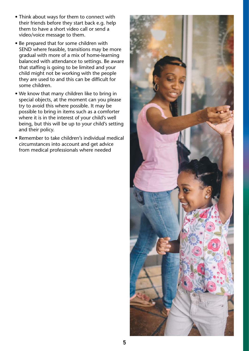- Think about ways for them to connect with their friends before they start back e.g. help them to have a short video call or send a video/voice message to them.
- Be prepared that for some children with SEND where feasible, transitions may be more gradual with more of a mix of home-learning balanced with attendance to settings. Be aware that staffing is going to be limited and your child might not be working with the people they are used to and this can be difficult for some children.
- We know that many children like to bring in special objects, at the moment can you please try to avoid this where possible. It may be possible to bring in items such as a comforter where it is in the interest of your child's well being, but this will be up to your child's setting and their policy.
- Remember to take children's individual medical circumstances into account and get advice from medical professionals where needed

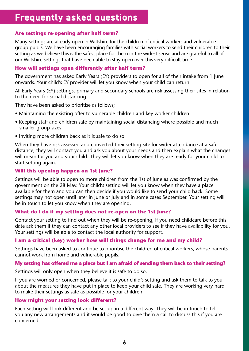# Frequently asked questions

### **Are settings re-opening after half term?**

Many settings are already open in Wiltshire for the children of critical workers and vulnerable group pupils. We have been encouraging families with social workers to send their children to their setting as we believe this is the safest place for them in the widest sense and are grateful to all of our Wiltshire settings that have been able to stay open over this very difficult time.

### **How will settings open differently after half term?**

The government has asked Early Years (EY) providers to open for all of their intake from 1 June onwards. Your child's EY provider will let you know when your child can return.

All Early Years (EY) settings, primary and secondary schools are risk assessing their sites in relation to the need for social distancing.

They have been asked to prioritise as follows;

- Maintaining the existing offer to vulnerable children and key worker children
- Keeping staff and children safe by maintaining social distancing where possible and much smaller group sizes
- Inviting more children back as it is safe to do so

When they have risk assessed and converted their setting site for wider attendance at a safe distance, they will contact you and ask you about your needs and then explain what the changes will mean for you and your child. They will let you know when they are ready for your child to start setting again.

### **Will this opening happen on 1st June?**

Settings will be able to open to more children from the 1st of June as was confirmed by the government on the 28 May. Your child's setting will let you know when they have a place available for them and you can then decide if you would like to send your child back. Some settings may not open until later in June or July and in some cases September. Your setting will be in touch to let you know when they are opening.

#### **What do I do if my setting does not re-open on the 1st June?**

Contact your setting to find out when they will be re-opening, If you need childcare before this date ask them if they can contact any other local providers to see if they have availability for you. Your settings will be able to contact the local authority for support.

### **I am a critical (key) worker how will things change for me and my child?**

Settings have been asked to continue to prioritise the children of critical workers, whose parents cannot work from home and vulnerable pupils.

#### **My setting has offered me a place but I am afraid of sending them back to their setting?**

Settings will only open when they believe it is safe to do so.

If you are worried or concerned, please talk to your child's setting and ask them to talk to you about the measures they have put in place to keep your child safe. They are working very hard to make their settings as safe as possible for your children.

#### **How might your setting look different?**

Each setting will look different and be set up in a different way. They will be in touch to tell you any new arrangements and it would be good to give them a call to discuss this if you are concerned.